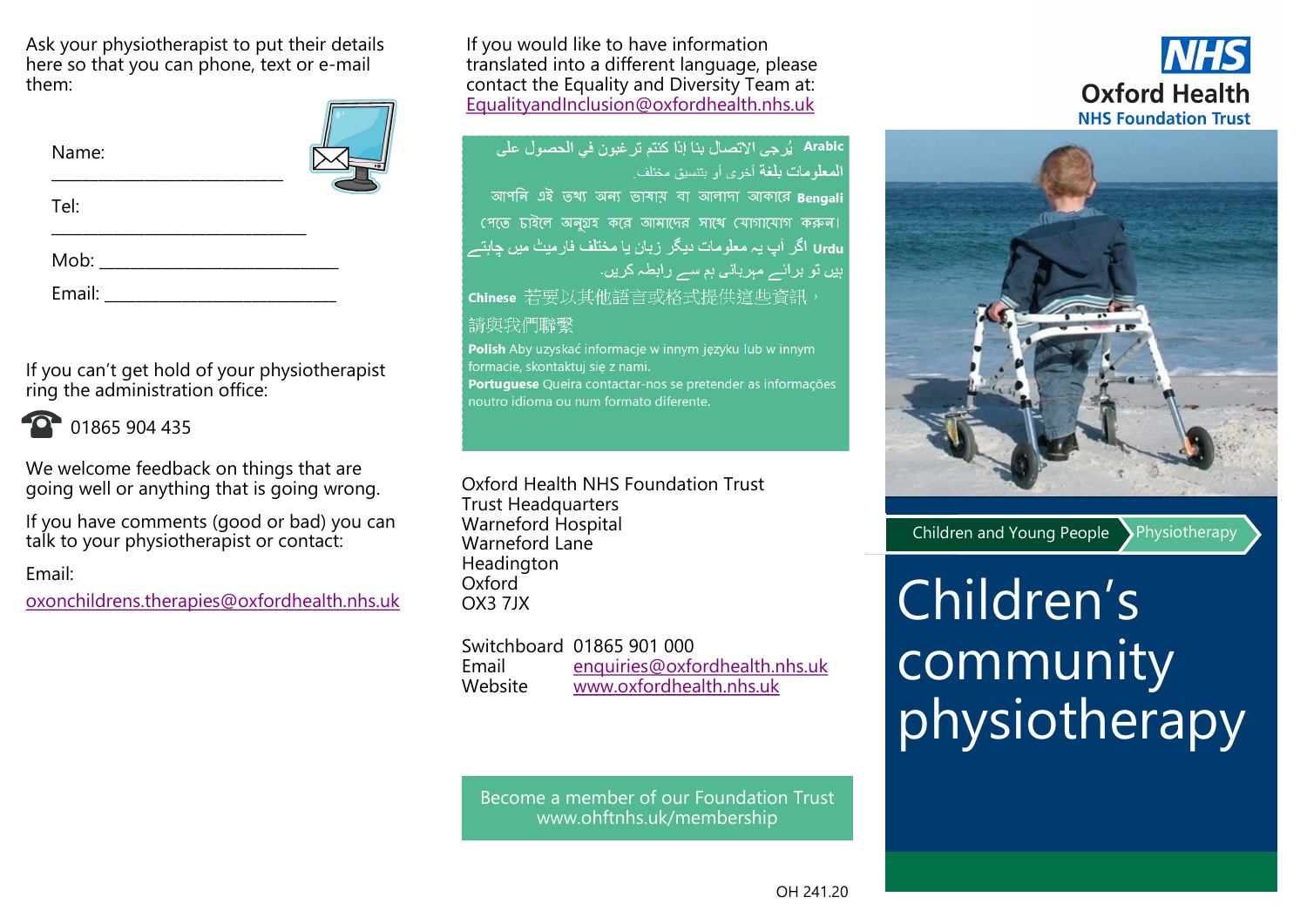Ask your physiotherapist to put their details here so that you can phone, text or e-mail them:

| Name:                                                                                                                                                                                                                                                                                                                                               |  |
|-----------------------------------------------------------------------------------------------------------------------------------------------------------------------------------------------------------------------------------------------------------------------------------------------------------------------------------------------------|--|
| Tel:                                                                                                                                                                                                                                                                                                                                                |  |
| $\begin{picture}(20,10) \put(0,0){\line(1,0){10}} \put(15,0){\line(1,0){10}} \put(15,0){\line(1,0){10}} \put(15,0){\line(1,0){10}} \put(15,0){\line(1,0){10}} \put(15,0){\line(1,0){10}} \put(15,0){\line(1,0){10}} \put(15,0){\line(1,0){10}} \put(15,0){\line(1,0){10}} \put(15,0){\line(1,0){10}} \put(15,0){\line(1,0){10}} \put(15,0){\line(1$ |  |
| Email: ______                                                                                                                                                                                                                                                                                                                                       |  |

If you can't get hold of your physiotherapist ring the administration office:



01865 904 435

We welcome feedback on things that are going well or anything that is going wrong.

If you have comments (good or bad) you can talk to your physiotherapist or contact:

Email:

[oxonchildrens.therapies@oxfordhealth.nhs.uk](mailto:oxonchildrens.therapies@oxfordhealth.nhs.uk)

If you would like to have information translated into a different language, please contact the Equality and Diversity Team at: [EqualityandInclusion@oxfordhealth.nhs.uk](mailto:EqualityandInclusion@oxfordhealth.nhs.uk)

## Arabic يُرجى الاتصال بنا إذا كنتم تر غبون في الحصول على **المعلومات بلغة** أخرى أو يتنسق مختلف আপনি এই তথ্য অন্য ভাষায় বা আলাদা আকারে Bengali পেতে চাইলে অনুগ্রহ করে আমাদের সাথে যোগাযোগ করুন। Urdu اگر آپ یہ معلومات دیگر زبان یا مختلف فارمیٹ میں چاہتے ہیں تو برائے مبربانی ہم سے رابطہ کریں۔ Chinese 若要以其他語言或格式提供這些資訊, 請與我們聯繫

Polish Aby uzyskać informacje w innym języku lub w innym formacie, skontaktuj się z nami. Portuquese Queira contactar-nos se pretender as informações noutro idioma ou num formato diferente.

Oxford Health NHS Foundation Trust Trust Headquarters Warneford Hospital Warneford Lane Headington Oxford<sup>1</sup> OX3 7JX

Switchboard 01865 901 000 Email [enquiries@](mailto:enquiries@oxfordhealth.nhs.uk)[oxfordhealth.nhs.uk](mailto:volunteering@oxfordhealth.nhs.uk) Website [www.oxfordhealth.nhs.uk](http://www.oxfordhealth.nhs.uk/)

Become a member of our Foundation Trust www.ohftnhs.uk/membership





Children and Young People Physiotherapy



# Children's community physiotherapy